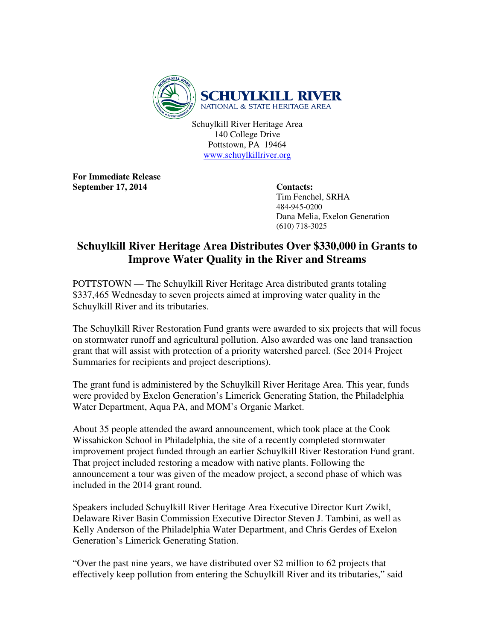

Schuylkill River Heritage Area 140 College Drive Pottstown, PA 19464 www.schuylkillriver.org

**For Immediate Release**  September 17, 2014 Contacts:

 Tim Fenchel, SRHA 484-945-0200 Dana Melia, Exelon Generation (610) 718-3025

## **Schuylkill River Heritage Area Distributes Over \$330,000 in Grants to Improve Water Quality in the River and Streams**

POTTSTOWN — The Schuylkill River Heritage Area distributed grants totaling \$337,465 Wednesday to seven projects aimed at improving water quality in the Schuylkill River and its tributaries.

The Schuylkill River Restoration Fund grants were awarded to six projects that will focus on stormwater runoff and agricultural pollution. Also awarded was one land transaction grant that will assist with protection of a priority watershed parcel. (See 2014 Project Summaries for recipients and project descriptions).

The grant fund is administered by the Schuylkill River Heritage Area. This year, funds were provided by Exelon Generation's Limerick Generating Station, the Philadelphia Water Department, Aqua PA, and MOM's Organic Market.

About 35 people attended the award announcement, which took place at the Cook Wissahickon School in Philadelphia, the site of a recently completed stormwater improvement project funded through an earlier Schuylkill River Restoration Fund grant. That project included restoring a meadow with native plants. Following the announcement a tour was given of the meadow project, a second phase of which was included in the 2014 grant round.

Speakers included Schuylkill River Heritage Area Executive Director Kurt Zwikl, Delaware River Basin Commission Executive Director Steven J. Tambini, as well as Kelly Anderson of the Philadelphia Water Department, and Chris Gerdes of Exelon Generation's Limerick Generating Station.

"Over the past nine years, we have distributed over \$2 million to 62 projects that effectively keep pollution from entering the Schuylkill River and its tributaries," said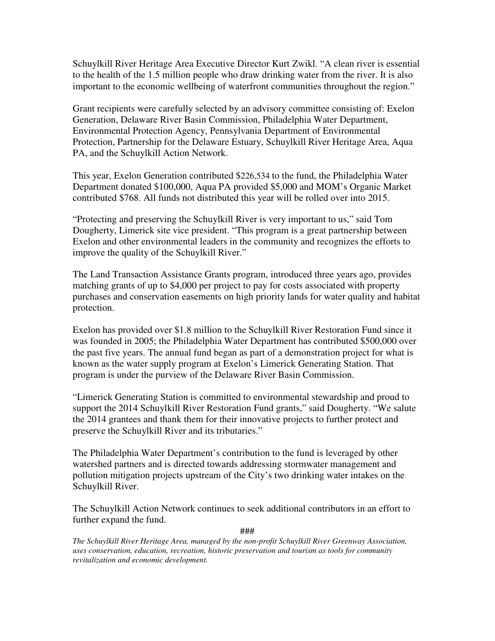Schuylkill River Heritage Area Executive Director Kurt Zwikl. "A clean river is essential to the health of the 1.5 million people who draw drinking water from the river. It is also important to the economic wellbeing of waterfront communities throughout the region."

Grant recipients were carefully selected by an advisory committee consisting of: Exelon Generation, Delaware River Basin Commission, Philadelphia Water Department, Environmental Protection Agency, Pennsylvania Department of Environmental Protection, Partnership for the Delaware Estuary, Schuylkill River Heritage Area, Aqua PA, and the Schuylkill Action Network.

This year, Exelon Generation contributed \$226,534 to the fund, the Philadelphia Water Department donated \$100,000, Aqua PA provided \$5,000 and MOM's Organic Market contributed \$768. All funds not distributed this year will be rolled over into 2015.

"Protecting and preserving the Schuylkill River is very important to us," said Tom Dougherty, Limerick site vice president. "This program is a great partnership between Exelon and other environmental leaders in the community and recognizes the efforts to improve the quality of the Schuylkill River."

The Land Transaction Assistance Grants program, introduced three years ago, provides matching grants of up to \$4,000 per project to pay for costs associated with property purchases and conservation easements on high priority lands for water quality and habitat protection.

Exelon has provided over \$1.8 million to the Schuylkill River Restoration Fund since it was founded in 2005; the Philadelphia Water Department has contributed \$500,000 over the past five years. The annual fund began as part of a demonstration project for what is known as the water supply program at Exelon's Limerick Generating Station. That program is under the purview of the Delaware River Basin Commission.

"Limerick Generating Station is committed to environmental stewardship and proud to support the 2014 Schuylkill River Restoration Fund grants," said Dougherty. "We salute the 2014 grantees and thank them for their innovative projects to further protect and preserve the Schuylkill River and its tributaries."

The Philadelphia Water Department's contribution to the fund is leveraged by other watershed partners and is directed towards addressing stormwater management and pollution mitigation projects upstream of the City's two drinking water intakes on the Schuylkill River.

The Schuylkill Action Network continues to seek additional contributors in an effort to further expand the fund.

###

*The Schuylkill River Heritage Area, managed by the non-profit Schuylkill River Greenway Association, uses conservation, education, recreation, historic preservation and tourism as tools for community revitalization and economic development.*